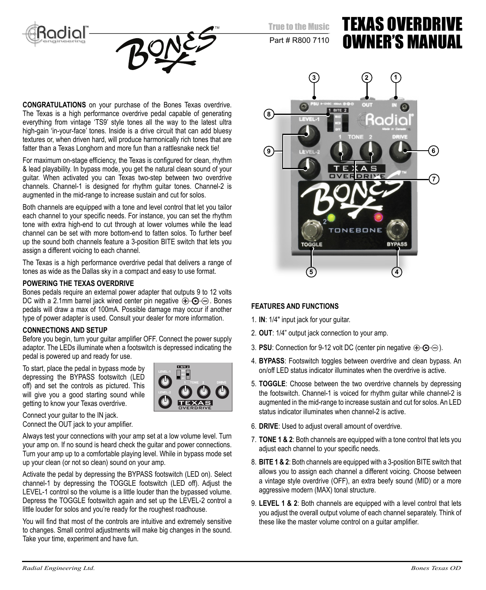



True to the Music

Part # R800 7110

# TEXAS OVERDRIVE OWNER'S MANUAL

**CONGRATULATIONS** on your purchase of the Bones Texas overdrive. The Texas is a high performance overdrive pedal capable of generating everything from vintage 'TS9' style tones all the way to the latest ultra high-gain 'in-your-face' tones. Inside is a drive circuit that can add bluesy textures or, when driven hard, will produce harmonically rich tones that are fatter than a Texas Longhorn and more fun than a rattlesnake neck tie!

For maximum on-stage efficiency, the Texas is configured for clean, rhythm & lead playability. In bypass mode, you get the natural clean sound of your guitar. When activated you can Texas two-step between two overdrive channels. Channel-1 is designed for rhythm guitar tones. Channel-2 is augmented in the mid-range to increase sustain and cut for solos.

Both channels are equipped with a tone and level control that let you tailor each channel to your specific needs. For instance, you can set the rhythm tone with extra high-end to cut through at lower volumes while the lead channel can be set with more bottom-end to fatten solos. To further beef up the sound both channels feature a 3-position BITE switch that lets you assign a different voicing to each channel.

The Texas is a high performance overdrive pedal that delivers a range of tones as wide as the Dallas sky in a compact and easy to use format.

#### **POWERING THE TEXAS OVERDRIVE**

Bones pedals require an external power adapter that outputs 9 to 12 volts DC with a 2.1mm barrel jack wired center pin negative  $\bigoplus$   $\bigoplus$   $\bigoplus$ . Bones pedals will draw a max of 100mA. Possible damage may occur if another type of power adapter is used. Consult your dealer for more information.

#### **CONNECTIONS AND SETUP**

Before you begin, turn your guitar amplifier OFF. Connect the power supply adaptor. The LEDs illuminate when a footswitch is depressed indicating the pedal is powered up and ready for use.

To start, place the pedal in bypass mode by depressing the BYPASS footswitch (LED off) and set the controls as pictured. This will give you a good starting sound while getting to know your Texas overdrive.



Connect your guitar to the IN jack. Connect the OUT jack to your amplifier.

Always test your connections with your amp set at a low volume level. Turn your amp on. If no sound is heard check the guitar and power connections. Turn your amp up to a comfortable playing level. While in bypass mode set up your clean (or not so clean) sound on your amp.

Activate the pedal by depressing the BYPASS footswitch (LED on). Select channel-1 by depressing the TOGGLE footswitch (LED off). Adjust the LEVEL-1 control so the volume is a little louder than the bypassed volume. Depress the TOGGLE footswitch again and set up the LEVEL-2 control a little louder for solos and you're ready for the roughest roadhouse.

You will find that most of the controls are intuitive and extremely sensitive to changes. Small control adjustments will make big changes in the sound. Take your time, experiment and have fun.



#### **FEATURES AND FUNCTIONS**

- 1. **IN**: 1/4" input jack for your guitar.
- 2. **OUT**: 1/4" output jack connection to your amp.
- 3. **PSU**: Connection for 9-12 volt DC (center pin negative  $\bigoplus$   $\bigoplus$   $\ominus$ ).
- 4. **BYPASS**: Footswitch toggles between overdrive and clean bypass. An on/off LED status indicator illuminates when the overdrive is active.
- 5. **TOGGLE**: Choose between the two overdrive channels by depressing the footswitch. Channel-1 is voiced for rhythm guitar while channel-2 is augmented in the mid-range to increase sustain and cut for solos. An LED status indicator illuminates when channel-2 is active.
- 6. **DRIVE**: Used to adjust overall amount of overdrive.
- 7. **TONE 1 & 2**: Both channels are equipped with a tone control that lets you adjust each channel to your specific needs.
- 8. **BITE 1 & 2**: Both channels are equipped with a 3-position BITE switch that allows you to assign each channel a different voicing. Choose between a vintage style overdrive (OFF), an extra beefy sound (MID) or a more aggressive modern (MAX) tonal structure.
- 9. **LEVEL 1 & 2**: Both channels are equipped with a level control that lets you adjust the overall output volume of each channel separately. Think of these like the master volume control on a quitar amplifier.